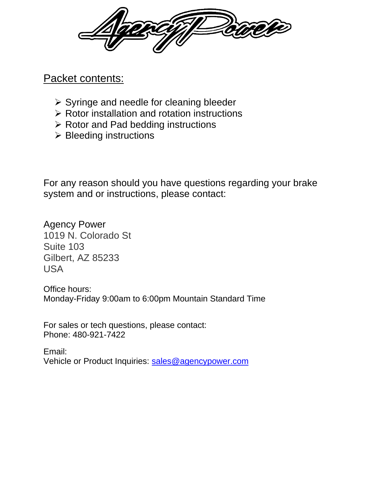### Packet contents:

- ➢ Syringe and needle for cleaning bleeder
- ➢ Rotor installation and rotation instructions
- ➢ Rotor and Pad bedding instructions
- ➢ Bleeding instructions

For any reason should you have questions regarding your brake system and or instructions, please contact:

Agency Power 1019 N. Colorado St Suite 103 Gilbert, AZ 85233 USA

Office hours: Monday-Friday 9:00am to 6:00pm Mountain Standard Time

For sales or tech questions, please contact: Phone: 480-921-7422

Email: Vehicle or Product Inquiries: [sales@agencypower.com](mailto:sales@agencypower.com)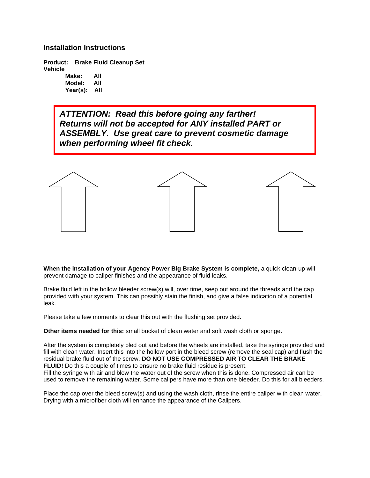#### **Installation Instructions**

**Product: Brake Fluid Cleanup Set Vehicle**

**Make: All Model: All Year(s): All**

*ATTENTION: Read this before going any farther! Returns will not be accepted for ANY installed PART or ASSEMBLY. Use great care to prevent cosmetic damage when performing wheel fit check.*



**When the installation of your Agency Power Big Brake System is complete,** a quick clean-up will prevent damage to caliper finishes and the appearance of fluid leaks.

Brake fluid left in the hollow bleeder screw(s) will, over time, seep out around the threads and the cap provided with your system. This can possibly stain the finish, and give a false indication of a potential leak.

Please take a few moments to clear this out with the flushing set provided.

**Other items needed for this:** small bucket of clean water and soft wash cloth or sponge.

After the system is completely bled out and before the wheels are installed, take the syringe provided and fill with clean water. Insert this into the hollow port in the bleed screw (remove the seal cap) and flush the residual brake fluid out of the screw. **DO NOT USE COMPRESSED AIR TO CLEAR THE BRAKE FLUID!** Do this a couple of times to ensure no brake fluid residue is present.

Fill the syringe with air and blow the water out of the screw when this is done. Compressed air can be used to remove the remaining water. Some calipers have more than one bleeder. Do this for all bleeders.

Place the cap over the bleed screw(s) and using the wash cloth, rinse the entire caliper with clean water. Drying with a microfiber cloth will enhance the appearance of the Calipers.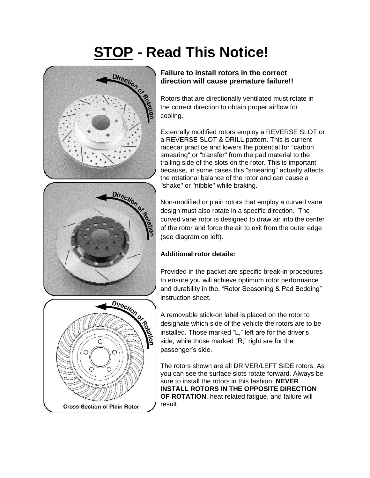# **STOP - Read This Notice!**





Rotors that are directionally ventilated must rotate in the correct direction to obtain proper airflow for cooling.

Externally modified rotors employ a REVERSE SLOT or a REVERSE SLOT & DRILL pattern. This is current racecar practice and lowers the potential for "carbon smearing" or "transfer" from the pad material to the trailing side of the slots on the rotor. This is important because, in some cases this "smearing" actually affects the rotational balance of the rotor and can cause a "shake" or "nibble" while braking.



Non-modified or plain rotors that employ a curved vane design must also rotate in a specific direction. The curved vane rotor is designed to draw air into the center of the rotor and force the air to exit from the outer edge (see diagram on left).

### **Additional rotor details:**

Provided in the packet are specific break-in procedures to ensure you will achieve optimum rotor performance and durability in the, "Rotor Seasoning & Pad Bedding" instruction sheet.

A removable stick-on label is placed on the rotor to designate which side of the vehicle the rotors are to be installed. Those marked "L," left are for the driver's side, while those marked "R," right are for the passenger's side.

The rotors shown are all DRIVER/LEFT SIDE rotors. As you can see the surface slots rotate forward. Always be sure to install the rotors in this fashion. **NEVER INSTALL ROTORS IN THE OPPOSITE DIRECTION OF ROTATION**, heat related fatigue, and failure will result.

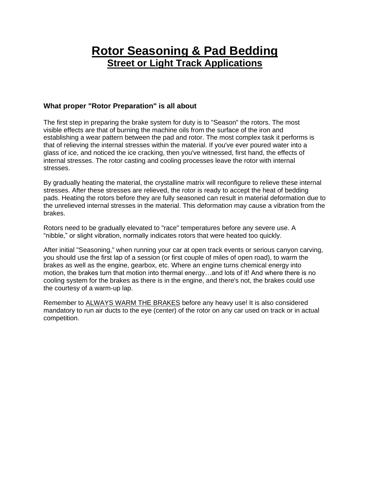### **Rotor Seasoning & Pad Bedding Street or Light Track Applications**

### **What proper "Rotor Preparation" is all about**

The first step in preparing the brake system for duty is to "Season" the rotors. The most visible effects are that of burning the machine oils from the surface of the iron and establishing a wear pattern between the pad and rotor. The most complex task it performs is that of relieving the internal stresses within the material. If you've ever poured water into a glass of ice, and noticed the ice cracking, then you've witnessed, first hand, the effects of internal stresses. The rotor casting and cooling processes leave the rotor with internal stresses.

By gradually heating the material, the crystalline matrix will reconfigure to relieve these internal stresses. After these stresses are relieved, the rotor is ready to accept the heat of bedding pads. Heating the rotors before they are fully seasoned can result in material deformation due to the unrelieved internal stresses in the material. This deformation may cause a vibration from the brakes.

Rotors need to be gradually elevated to "race" temperatures before any severe use. A "nibble," or slight vibration, normally indicates rotors that were heated too quickly.

After initial "Seasoning," when running your car at open track events or serious canyon carving, you should use the first lap of a session (or first couple of miles of open road), to warm the brakes as well as the engine, gearbox, etc. Where an engine turns chemical energy into motion, the brakes turn that motion into thermal energy…and lots of it! And where there is no cooling system for the brakes as there is in the engine, and there's not, the brakes could use the courtesy of a warm-up lap.

Remember to ALWAYS WARM THE BRAKES before any heavy use! It is also considered mandatory to run air ducts to the eye (center) of the rotor on any car used on track or in actual competition.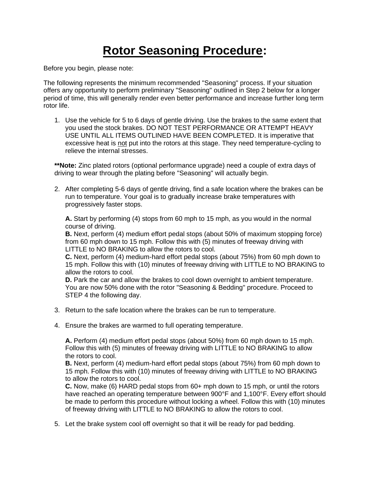# **Rotor Seasoning Procedure:**

Before you begin, please note:

The following represents the minimum recommended "Seasoning" process. If your situation offers any opportunity to perform preliminary "Seasoning" outlined in Step 2 below for a longer period of time, this will generally render even better performance and increase further long term rotor life.

1. Use the vehicle for 5 to 6 days of gentle driving. Use the brakes to the same extent that you used the stock brakes. DO NOT TEST PERFORMANCE OR ATTEMPT HEAVY USE UNTIL ALL ITEMS OUTLINED HAVE BEEN COMPLETED. It is imperative that excessive heat is not put into the rotors at this stage. They need temperature-cycling to relieve the internal stresses.

**\*\*Note:** Zinc plated rotors (optional performance upgrade) need a couple of extra days of driving to wear through the plating before "Seasoning" will actually begin.

2. After completing 5-6 days of gentle driving, find a safe location where the brakes can be run to temperature. Your goal is to gradually increase brake temperatures with progressively faster stops.

**A.** Start by performing (4) stops from 60 mph to 15 mph, as you would in the normal course of driving.

**B.** Next, perform (4) medium effort pedal stops (about 50% of maximum stopping force) from 60 mph down to 15 mph. Follow this with (5) minutes of freeway driving with LITTLE to NO BRAKING to allow the rotors to cool.

**C.** Next, perform (4) medium-hard effort pedal stops (about 75%) from 60 mph down to 15 mph. Follow this with (10) minutes of freeway driving with LITTLE to NO BRAKING to allow the rotors to cool.

**D.** Park the car and allow the brakes to cool down overnight to ambient temperature. You are now 50% done with the rotor "Seasoning & Bedding" procedure. Proceed to STEP 4 the following day.

- 3. Return to the safe location where the brakes can be run to temperature.
- 4. Ensure the brakes are warmed to full operating temperature.

**A.** Perform (4) medium effort pedal stops (about 50%) from 60 mph down to 15 mph. Follow this with (5) minutes of freeway driving with LITTLE to NO BRAKING to allow the rotors to cool.

**B.** Next, perform (4) medium-hard effort pedal stops (about 75%) from 60 mph down to 15 mph. Follow this with (10) minutes of freeway driving with LITTLE to NO BRAKING to allow the rotors to cool.

**C.** Now, make (6) HARD pedal stops from 60+ mph down to 15 mph, or until the rotors have reached an operating temperature between 900°F and 1,100°F. Every effort should be made to perform this procedure without locking a wheel. Follow this with (10) minutes of freeway driving with LITTLE to NO BRAKING to allow the rotors to cool.

5. Let the brake system cool off overnight so that it will be ready for pad bedding.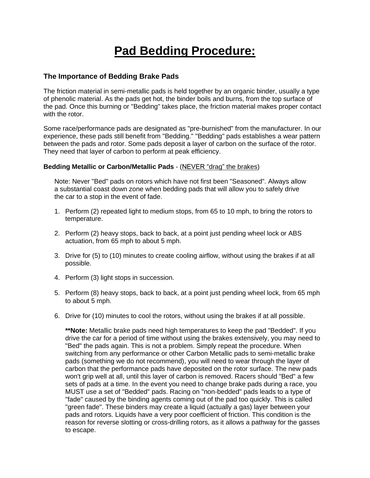## **Pad Bedding Procedure:**

#### **The Importance of Bedding Brake Pads**

The friction material in semi-metallic pads is held together by an organic binder, usually a type of phenolic material. As the pads get hot, the binder boils and burns, from the top surface of the pad. Once this burning or "Bedding" takes place, the friction material makes proper contact with the rotor.

Some race/performance pads are designated as "pre-burnished" from the manufacturer. In our experience, these pads still benefit from "Bedding." "Bedding" pads establishes a wear pattern between the pads and rotor. Some pads deposit a layer of carbon on the surface of the rotor. They need that layer of carbon to perform at peak efficiency.

#### **Bedding Metallic or Carbon/Metallic Pads** - (NEVER "drag" the brakes)

Note: Never "Bed" pads on rotors which have not first been "Seasoned". Always allow a substantial coast down zone when bedding pads that will allow you to safely drive the car to a stop in the event of fade.

- 1. Perform (2) repeated light to medium stops, from 65 to 10 mph, to bring the rotors to temperature.
- 2. Perform (2) heavy stops, back to back, at a point just pending wheel lock or ABS actuation, from 65 mph to about 5 mph.
- 3. Drive for (5) to (10) minutes to create cooling airflow, without using the brakes if at all possible.
- 4. Perform (3) light stops in succession.
- 5. Perform (8) heavy stops, back to back, at a point just pending wheel lock, from 65 mph to about 5 mph.
- 6. Drive for (10) minutes to cool the rotors, without using the brakes if at all possible.

**\*\*Note:** Metallic brake pads need high temperatures to keep the pad "Bedded". If you drive the car for a period of time without using the brakes extensively, you may need to "Bed" the pads again. This is not a problem. Simply repeat the procedure. When switching from any performance or other Carbon Metallic pads to semi-metallic brake pads (something we do not recommend), you will need to wear through the layer of carbon that the performance pads have deposited on the rotor surface. The new pads won't grip well at all, until this layer of carbon is removed. Racers should "Bed" a few sets of pads at a time. In the event you need to change brake pads during a race, you MUST use a set of "Bedded" pads. Racing on "non-bedded" pads leads to a type of "fade" caused by the binding agents coming out of the pad too quickly. This is called "green fade". These binders may create a liquid (actually a gas) layer between your pads and rotors. Liquids have a very poor coefficient of friction. This condition is the reason for reverse slotting or cross-drilling rotors, as it allows a pathway for the gasses to escape.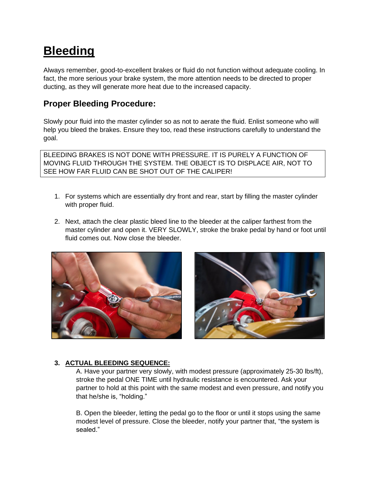# **Bleeding**

Always remember, good-to-excellent brakes or fluid do not function without adequate cooling. In fact, the more serious your brake system, the more attention needs to be directed to proper ducting, as they will generate more heat due to the increased capacity.

### **Proper Bleeding Procedure:**

Slowly pour fluid into the master cylinder so as not to aerate the fluid. Enlist someone who will help you bleed the brakes. Ensure they too, read these instructions carefully to understand the goal.

BLEEDING BRAKES IS NOT DONE WITH PRESSURE. IT IS PURELY A FUNCTION OF MOVING FLUID THROUGH THE SYSTEM. THE OBJECT IS TO DISPLACE AIR, NOT TO SEE HOW FAR FLUID CAN BE SHOT OUT OF THE CALIPER!

- 1. For systems which are essentially dry front and rear, start by filling the master cylinder with proper fluid.
- 2. Next, attach the clear plastic bleed line to the bleeder at the caliper farthest from the master cylinder and open it. VERY SLOWLY, stroke the brake pedal by hand or foot until fluid comes out. Now close the bleeder.





### **3. ACTUAL BLEEDING SEQUENCE:**

A. Have your partner very slowly, with modest pressure (approximately 25-30 lbs/ft), stroke the pedal ONE TIME until hydraulic resistance is encountered. Ask your partner to hold at this point with the same modest and even pressure, and notify you that he/she is, "holding."

B. Open the bleeder, letting the pedal go to the floor or until it stops using the same modest level of pressure. Close the bleeder, notify your partner that, "the system is sealed."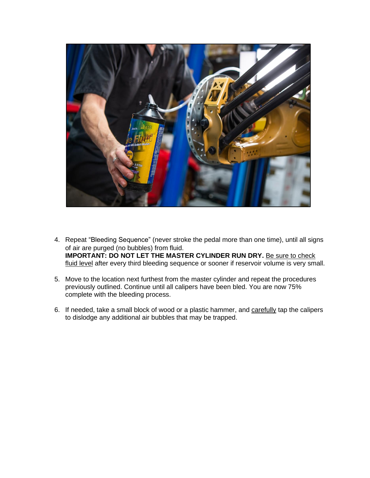

- 4. Repeat "Bleeding Sequence" (never stroke the pedal more than one time), until all signs of air are purged (no bubbles) from fluid. **IMPORTANT: DO NOT LET THE MASTER CYLINDER RUN DRY.** Be sure to check fluid level after every third bleeding sequence or sooner if reservoir volume is very small.
- 5. Move to the location next furthest from the master cylinder and repeat the procedures previously outlined. Continue until all calipers have been bled. You are now 75% complete with the bleeding process.
- 6. If needed, take a small block of wood or a plastic hammer, and carefully tap the calipers to dislodge any additional air bubbles that may be trapped.